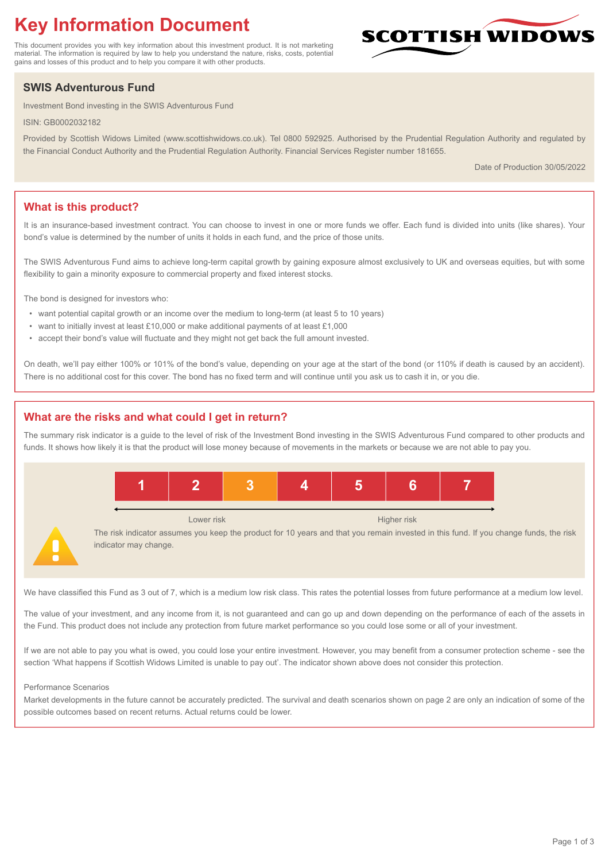# **Key Information Document**

This document provides you with key information about this investment product. It is not marketing material. The information is required by law to help you understand the nature, risks, costs, potential gains and losses of this product and to help you compare it with other products.

# **SWIS Adventurous Fund**

Investment Bond investing in the SWIS Adventurous Fund

ISIN: GB0002032182

Provided by Scottish Widows Limited (www.scottishwidows.co.uk). Tel 0800 592925. Authorised by the Prudential Regulation Authority and regulated by the Financial Conduct Authority and the Prudential Regulation Authority. Financial Services Register number 181655.

Date of Production 30/05/2022

**SCOTTISH WIDOW** 

# **What is this product?**

It is an insurance-based investment contract. You can choose to invest in one or more funds we offer. Each fund is divided into units (like shares). Your bond's value is determined by the number of units it holds in each fund, and the price of those units.

The SWIS Adventurous Fund aims to achieve long-term capital growth by gaining exposure almost exclusively to UK and overseas equities, but with some flexibility to gain a minority exposure to commercial property and fixed interest stocks.

The bond is designed for investors who:

- want potential capital growth or an income over the medium to long-term (at least 5 to 10 years)
- want to initially invest at least £10,000 or make additional payments of at least £1,000
- accept their bond's value will fluctuate and they might not get back the full amount invested.

On death, we'll pay either 100% or 101% of the bond's value, depending on your age at the start of the bond (or 110% if death is caused by an accident). There is no additional cost for this cover. The bond has no fixed term and will continue until you ask us to cash it in, or you die.

# **What are the risks and what could I get in return?**

The summary risk indicator is a guide to the level of risk of the Investment Bond investing in the SWIS Adventurous Fund compared to other products and funds. It shows how likely it is that the product will lose money because of movements in the markets or because we are not able to pay you.



We have classified this Fund as 3 out of 7, which is a medium low risk class. This rates the potential losses from future performance at a medium low level.

The value of your investment, and any income from it, is not guaranteed and can go up and down depending on the performance of each of the assets in the Fund. This product does not include any protection from future market performance so you could lose some or all of your investment.

If we are not able to pay you what is owed, you could lose your entire investment. However, you may benefit from a consumer protection scheme - see the section 'What happens if Scottish Widows Limited is unable to pay out'. The indicator shown above does not consider this protection.

#### Performance Scenarios

Market developments in the future cannot be accurately predicted. The survival and death scenarios shown on page 2 are only an indication of some of the possible outcomes based on recent returns. Actual returns could be lower.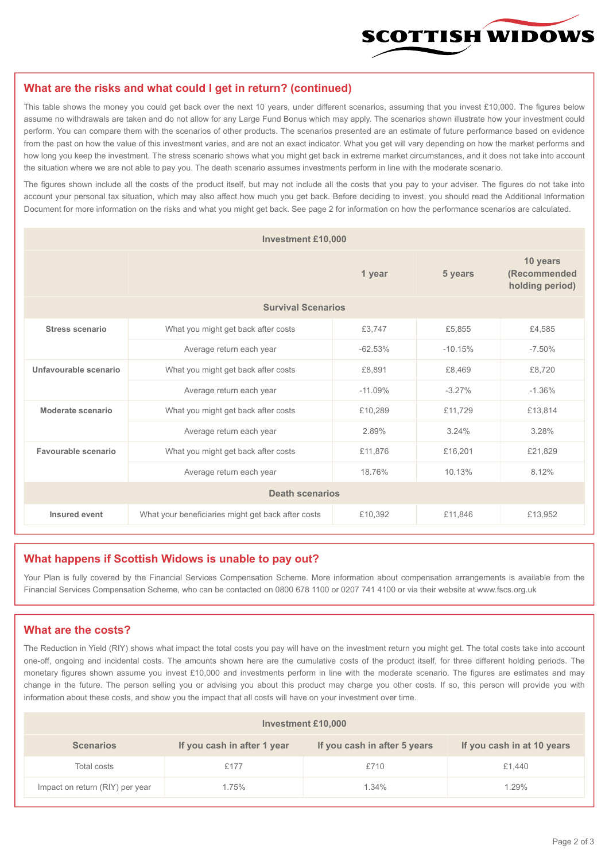

#### **What are the risks and what could I get in return? (continued)**

This table shows the money you could get back over the next 10 years, under different scenarios, assuming that you invest £10,000. The figures below assume no withdrawals are taken and do not allow for any Large Fund Bonus which may apply. The scenarios shown illustrate how your investment could perform. You can compare them with the scenarios of other products. The scenarios presented are an estimate of future performance based on evidence from the past on how the value of this investment varies, and are not an exact indicator. What you get will vary depending on how the market performs and how long you keep the investment. The stress scenario shows what you might get back in extreme market circumstances, and it does not take into account the situation where we are not able to pay you. The death scenario assumes investments perform in line with the moderate scenario.

The figures shown include all the costs of the product itself, but may not include all the costs that you pay to your adviser. The figures do not take into account your personal tax situation, which may also affect how much you get back. Before deciding to invest, you should read the Additional Information Document for more information on the risks and what you might get back. See page 2 for information on how the performance scenarios are calculated.

| <b>Investment £10,000</b> |                                                    |           |           |                                             |  |  |  |
|---------------------------|----------------------------------------------------|-----------|-----------|---------------------------------------------|--|--|--|
|                           |                                                    | 1 year    | 5 years   | 10 years<br>(Recommended<br>holding period) |  |  |  |
| <b>Survival Scenarios</b> |                                                    |           |           |                                             |  |  |  |
| <b>Stress scenario</b>    | £3,747<br>What you might get back after costs      |           | £5,855    | £4,585                                      |  |  |  |
|                           | $-62.53%$<br>Average return each year              |           | $-10.15%$ | $-7.50\%$                                   |  |  |  |
| Unfavourable scenario     | What you might get back after costs<br>£8,891      |           | £8,469    | £8,720                                      |  |  |  |
|                           | Average return each year                           | $-11.09%$ | $-3.27%$  | $-1.36%$                                    |  |  |  |
| Moderate scenario         | What you might get back after costs                | £10,289   | £11,729   | £13,814                                     |  |  |  |
|                           | Average return each year                           | 2.89%     | 3.24%     | 3.28%                                       |  |  |  |
| Favourable scenario       | What you might get back after costs                | £11,876   | £16,201   | £21,829                                     |  |  |  |
|                           | 18.76%<br>Average return each year                 |           | 10.13%    | 8.12%                                       |  |  |  |
| <b>Death scenarios</b>    |                                                    |           |           |                                             |  |  |  |
| Insured event             | What your beneficiaries might get back after costs | £10,392   | £11,846   | £13,952                                     |  |  |  |

#### **What happens if Scottish Widows is unable to pay out?**

Your Plan is fully covered by the Financial Services Compensation Scheme. More information about compensation arrangements is available from the Financial Services Compensation Scheme, who can be contacted on 0800 678 1100 or 0207 741 4100 or via their website at www.fscs.org.uk

# **What are the costs?**

The Reduction in Yield (RIY) shows what impact the total costs you pay will have on the investment return you might get. The total costs take into account one-off, ongoing and incidental costs. The amounts shown here are the cumulative costs of the product itself, for three different holding periods. The monetary figures shown assume you invest £10,000 and investments perform in line with the moderate scenario. The figures are estimates and may change in the future. The person selling you or advising you about this product may charge you other costs. If so, this person will provide you with information about these costs, and show you the impact that all costs will have on your investment over time.

| <b>Investment £10,000</b>       |                             |                              |                            |  |  |  |
|---------------------------------|-----------------------------|------------------------------|----------------------------|--|--|--|
| <b>Scenarios</b>                | If you cash in after 1 year | If you cash in after 5 years | If you cash in at 10 years |  |  |  |
| Total costs                     | £177                        | £710                         | £1,440                     |  |  |  |
| Impact on return (RIY) per year | 1.75%                       | 1.34%                        | 1.29%                      |  |  |  |